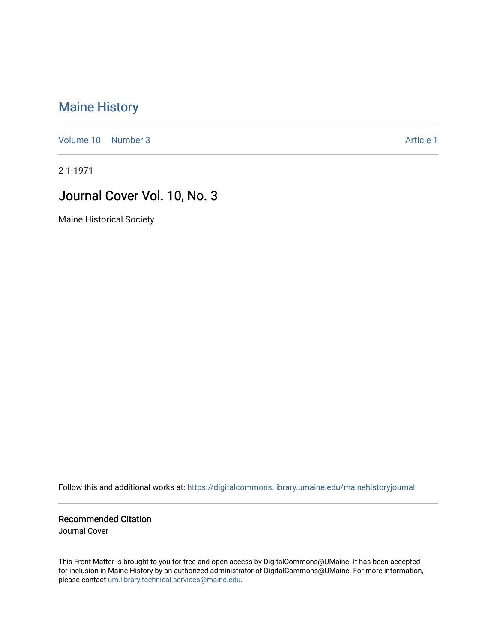## [Maine History](https://digitalcommons.library.umaine.edu/mainehistoryjournal)

[Volume 10](https://digitalcommons.library.umaine.edu/mainehistoryjournal/vol10) [Number 3](https://digitalcommons.library.umaine.edu/mainehistoryjournal/vol10/iss3) Article 1

2-1-1971

## Journal Cover Vol. 10, No. 3

Maine Historical Society

Follow this and additional works at: [https://digitalcommons.library.umaine.edu/mainehistoryjournal](https://digitalcommons.library.umaine.edu/mainehistoryjournal?utm_source=digitalcommons.library.umaine.edu%2Fmainehistoryjournal%2Fvol10%2Fiss3%2F1&utm_medium=PDF&utm_campaign=PDFCoverPages) 

Recommended Citation

Journal Cover

This Front Matter is brought to you for free and open access by DigitalCommons@UMaine. It has been accepted for inclusion in Maine History by an authorized administrator of DigitalCommons@UMaine. For more information, please contact [um.library.technical.services@maine.edu.](mailto:um.library.technical.services@maine.edu)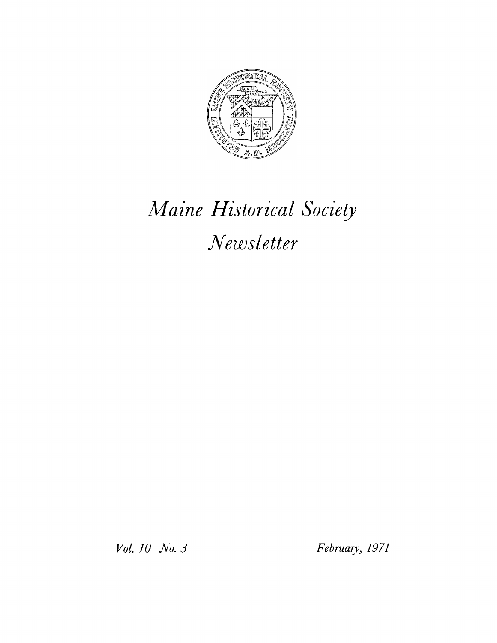

## *Maine Historical Society Newsletter*

*Vol. 10 No. 3 February, 1971*